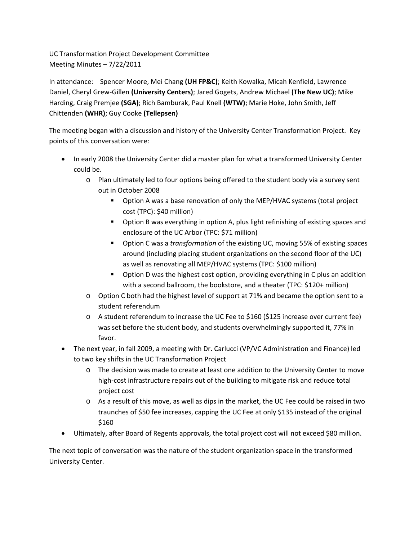UC Transformation Project Development Committee Meeting Minutes – 7/22/2011

In attendance: Spencer Moore, Mei Chang **(UH FP&C)**; Keith Kowalka, Micah Kenfield, Lawrence Daniel, Cheryl Grew‐Gillen **(University Centers)**; Jared Gogets, Andrew Michael **(The New UC)**; Mike Harding, Craig Premjee **(SGA)**; Rich Bamburak, Paul Knell **(WTW)**; Marie Hoke, John Smith, Jeff Chittenden **(WHR)**; Guy Cooke **(Tellepsen)**

The meeting began with a discussion and history of the University Center Transformation Project. Key points of this conversation were:

- In early 2008 the University Center did a master plan for what a transformed University Center could be.
	- o Plan ultimately led to four options being offered to the student body via a survey sent out in October 2008
		- Option A was a base renovation of only the MEP/HVAC systems (total project cost (TPC): \$40 million)
		- Option B was everything in option A, plus light refinishing of existing spaces and enclosure of the UC Arbor (TPC: \$71 million)
		- Option C was a *transformation* of the existing UC, moving 55% of existing spaces around (including placing student organizations on the second floor of the UC) as well as renovating all MEP/HVAC systems (TPC: \$100 million)
		- Option D was the highest cost option, providing everything in C plus an addition with a second ballroom, the bookstore, and a theater (TPC: \$120+ million)
	- o Option C both had the highest level of support at 71% and became the option sent to a student referendum
	- o A student referendum to increase the UC Fee to \$160 (\$125 increase over current fee) was set before the student body, and students overwhelmingly supported it, 77% in favor.
- The next year, in fall 2009, a meeting with Dr. Carlucci (VP/VC Administration and Finance) led to two key shifts in the UC Transformation Project
	- o The decision was made to create at least one addition to the University Center to move high-cost infrastructure repairs out of the building to mitigate risk and reduce total project cost
	- o As a result of this move, as well as dips in the market, the UC Fee could be raised in two traunches of \$50 fee increases, capping the UC Fee at only \$135 instead of the original \$160
- Ultimately, after Board of Regents approvals, the total project cost will not exceed \$80 million.

The next topic of conversation was the nature of the student organization space in the transformed University Center.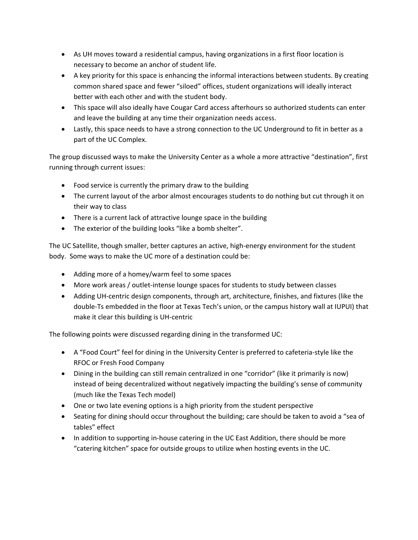- As UH moves toward a residential campus, having organizations in a first floor location is necessary to become an anchor of student life.
- A key priority for this space is enhancing the informal interactions between students. By creating common shared space and fewer "siloed" offices, student organizations will ideally interact better with each other and with the student body.
- This space will also ideally have Cougar Card access afterhours so authorized students can enter and leave the building at any time their organization needs access.
- Lastly, this space needs to have a strong connection to the UC Underground to fit in better as a part of the UC Complex.

The group discussed ways to make the University Center as a whole a more attractive "destination", first running through current issues:

- Food service is currently the primary draw to the building
- The current layout of the arbor almost encourages students to do nothing but cut through it on their way to class
- There is a current lack of attractive lounge space in the building
- The exterior of the building looks "like a bomb shelter".

The UC Satellite, though smaller, better captures an active, high‐energy environment for the student body. Some ways to make the UC more of a destination could be:

- Adding more of a homey/warm feel to some spaces
- More work areas / outlet-intense lounge spaces for students to study between classes
- Adding UH-centric design components, through art, architecture, finishes, and fixtures (like the double‐Ts embedded in the floor at Texas Tech's union, or the campus history wall at IUPUI) that make it clear this building is UH‐centric

The following points were discussed regarding dining in the transformed UC:

- A "Food Court" feel for dining in the University Center is preferred to cafeteria-style like the RFOC or Fresh Food Company
- Dining in the building can still remain centralized in one "corridor" (like it primarily is now) instead of being decentralized without negatively impacting the building's sense of community (much like the Texas Tech model)
- One or two late evening options is a high priority from the student perspective
- Seating for dining should occur throughout the building; care should be taken to avoid a "sea of tables" effect
- In addition to supporting in-house catering in the UC East Addition, there should be more "catering kitchen" space for outside groups to utilize when hosting events in the UC.